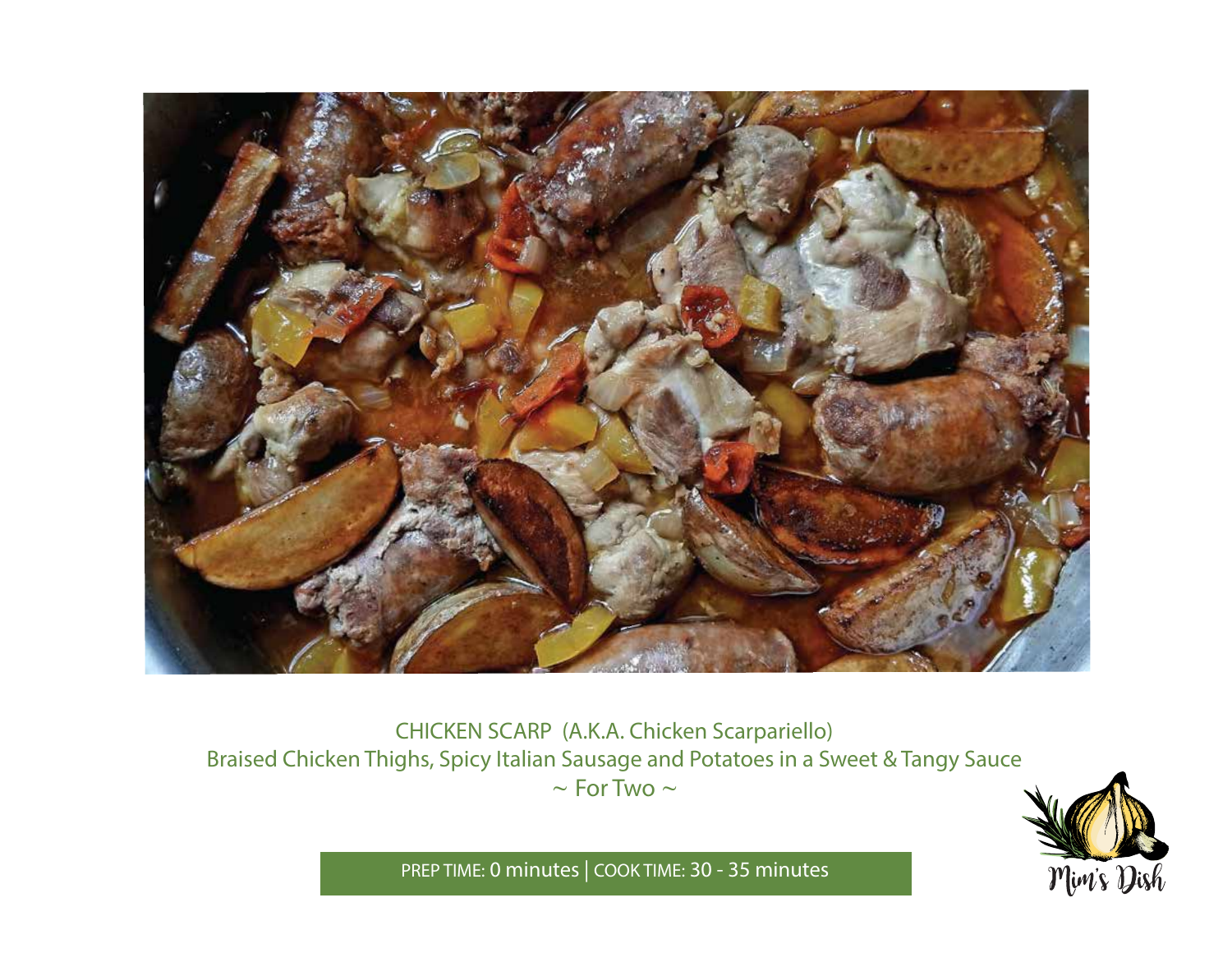

CHICKEN SCARP (A.K.A. Chicken Scarpariello) Braised Chicken Thighs, Spicy Italian Sausage and Potatoes in a Sweet & Tangy Sauce *~* For Two *~*



PREP TIME: **0 minutes** | COOK TIME: **30 - 35 minutes**